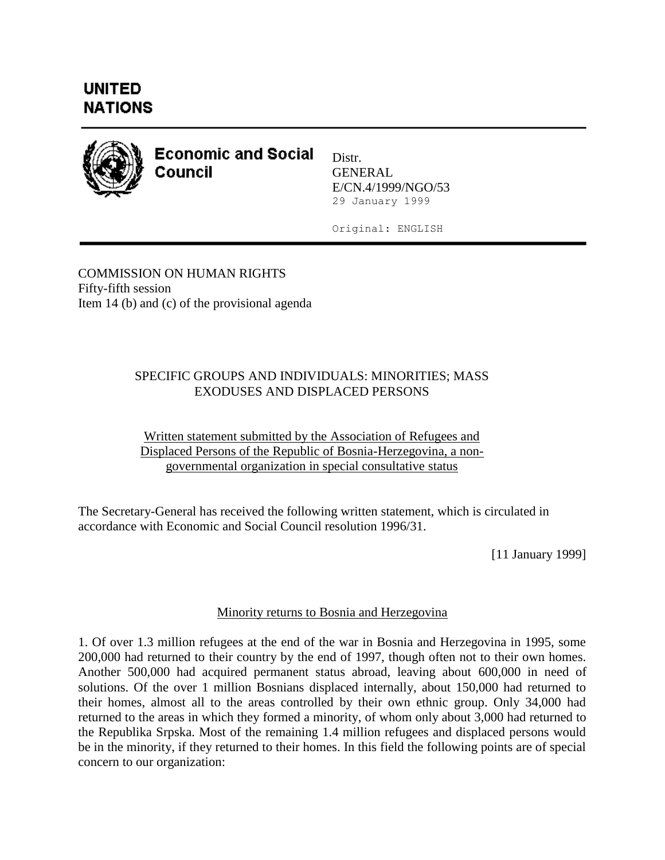

**Economic and Social** Council

Distr. GENERAL E/CN.4/1999/NGO/53 29 January 1999

Original: ENGLISH

COMMISSION ON HUMAN RIGHTS Fifty-fifth session Item 14 (b) and (c) of the provisional agenda

## SPECIFIC GROUPS AND INDIVIDUALS: MINORITIES; MASS EXODUSES AND DISPLACED PERSONS

Written statement submitted by the Association of Refugees and Displaced Persons of the Republic of Bosnia-Herzegovina, a nongovernmental organization in special consultative status

The Secretary-General has received the following written statement, which is circulated in accordance with Economic and Social Council resolution 1996/31.

[11 January 1999]

## Minority returns to Bosnia and Herzegovina

1. Of over 1.3 million refugees at the end of the war in Bosnia and Herzegovina in 1995, some 200,000 had returned to their country by the end of 1997, though often not to their own homes. Another 500,000 had acquired permanent status abroad, leaving about 600,000 in need of solutions. Of the over 1 million Bosnians displaced internally, about 150,000 had returned to their homes, almost all to the areas controlled by their own ethnic group. Only 34,000 had returned to the areas in which they formed a minority, of whom only about 3,000 had returned to the Republika Srpska. Most of the remaining 1.4 million refugees and displaced persons would be in the minority, if they returned to their homes. In this field the following points are of special concern to our organization: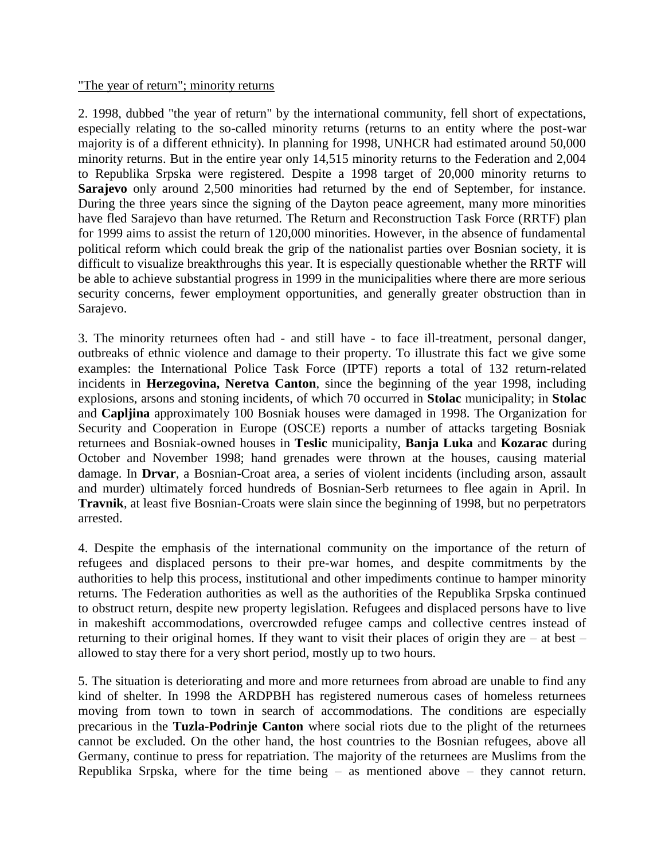## "The year of return"; minority returns

2. 1998, dubbed "the year of return" by the international community, fell short of expectations, especially relating to the so-called minority returns (returns to an entity where the post-war majority is of a different ethnicity). In planning for 1998, UNHCR had estimated around 50,000 minority returns. But in the entire year only 14,515 minority returns to the Federation and 2,004 to Republika Srpska were registered. Despite a 1998 target of 20,000 minority returns to **Sarajevo** only around 2,500 minorities had returned by the end of September, for instance. During the three years since the signing of the Dayton peace agreement, many more minorities have fled Sarajevo than have returned. The Return and Reconstruction Task Force (RRTF) plan for 1999 aims to assist the return of 120,000 minorities. However, in the absence of fundamental political reform which could break the grip of the nationalist parties over Bosnian society, it is difficult to visualize breakthroughs this year. It is especially questionable whether the RRTF will be able to achieve substantial progress in 1999 in the municipalities where there are more serious security concerns, fewer employment opportunities, and generally greater obstruction than in Sarajevo.

3. The minority returnees often had - and still have - to face ill-treatment, personal danger, outbreaks of ethnic violence and damage to their property. To illustrate this fact we give some examples: the International Police Task Force (IPTF) reports a total of 132 return-related incidents in **Herzegovina, Neretva Canton**, since the beginning of the year 1998, including explosions, arsons and stoning incidents, of which 70 occurred in **Stolac** municipality; in **Stolac** and **Capljina** approximately 100 Bosniak houses were damaged in 1998. The Organization for Security and Cooperation in Europe (OSCE) reports a number of attacks targeting Bosniak returnees and Bosniak-owned houses in **Teslic** municipality, **Banja Luka** and **Kozarac** during October and November 1998; hand grenades were thrown at the houses, causing material damage. In **Drvar**, a Bosnian-Croat area, a series of violent incidents (including arson, assault and murder) ultimately forced hundreds of Bosnian-Serb returnees to flee again in April. In **Travnik**, at least five Bosnian-Croats were slain since the beginning of 1998, but no perpetrators arrested.

4. Despite the emphasis of the international community on the importance of the return of refugees and displaced persons to their pre-war homes, and despite commitments by the authorities to help this process, institutional and other impediments continue to hamper minority returns. The Federation authorities as well as the authorities of the Republika Srpska continued to obstruct return, despite new property legislation. Refugees and displaced persons have to live in makeshift accommodations, overcrowded refugee camps and collective centres instead of returning to their original homes. If they want to visit their places of origin they are – at best – allowed to stay there for a very short period, mostly up to two hours.

5. The situation is deteriorating and more and more returnees from abroad are unable to find any kind of shelter. In 1998 the ARDPBH has registered numerous cases of homeless returnees moving from town to town in search of accommodations. The conditions are especially precarious in the **Tuzla-Podrinje Canton** where social riots due to the plight of the returnees cannot be excluded. On the other hand, the host countries to the Bosnian refugees, above all Germany, continue to press for repatriation. The majority of the returnees are Muslims from the Republika Srpska, where for the time being – as mentioned above – they cannot return.